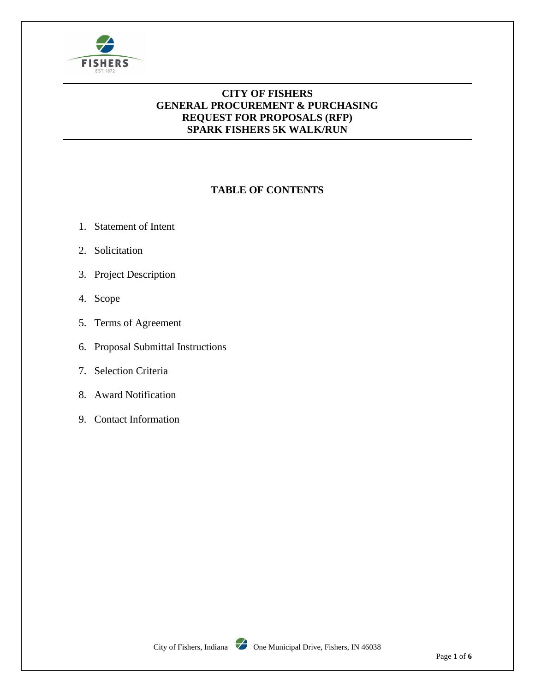

### **CITY OF FISHERS GENERAL PROCUREMENT & PURCHASING REQUEST FOR PROPOSALS (RFP) SPARK FISHERS 5K WALK/RUN**

# **TABLE OF CONTENTS**

- 1. Statement of Intent
- 2. Solicitation
- 3. Project Description
- 4. Scope
- 5. Terms of Agreement
- 6. Proposal Submittal Instructions
- 7. Selection Criteria
- 8. Award Notification
- 9. Contact Information

City of Fishers, Indiana  $\overline{\smash{\bigtriangledown}}$  One Municipal Drive, Fishers, IN 46038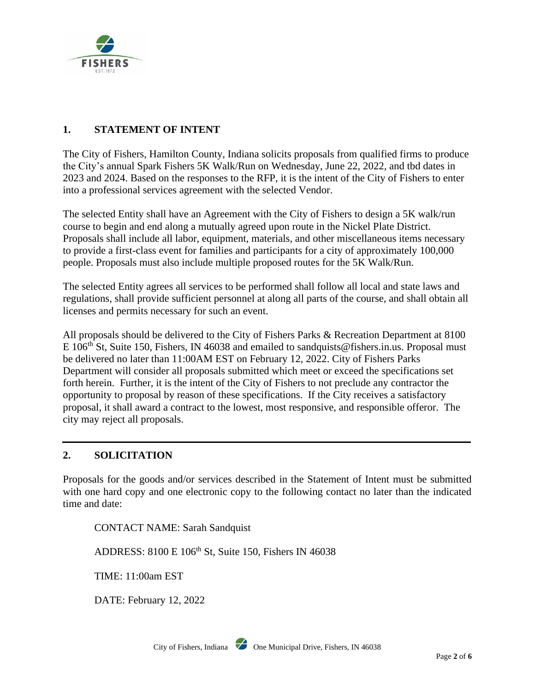

## **1. STATEMENT OF INTENT**

The City of Fishers, Hamilton County, Indiana solicits proposals from qualified firms to produce the City's annual Spark Fishers 5K Walk/Run on Wednesday, June 22, 2022, and tbd dates in 2023 and 2024. Based on the responses to the RFP, it is the intent of the City of Fishers to enter into a professional services agreement with the selected Vendor.

The selected Entity shall have an Agreement with the City of Fishers to design a 5K walk/run course to begin and end along a mutually agreed upon route in the Nickel Plate District. Proposals shall include all labor, equipment, materials, and other miscellaneous items necessary to provide a first-class event for families and participants for a city of approximately 100,000 people. Proposals must also include multiple proposed routes for the 5K Walk/Run.

The selected Entity agrees all services to be performed shall follow all local and state laws and regulations, shall provide sufficient personnel at along all parts of the course, and shall obtain all licenses and permits necessary for such an event.

All proposals should be delivered to the City of Fishers Parks & Recreation Department at 8100 E 106<sup>th</sup> St, Suite 150, Fishers, IN 46038 and emailed to sandquists@fishers.in.us. Proposal must be delivered no later than 11:00AM EST on February 12, 2022. City of Fishers Parks Department will consider all proposals submitted which meet or exceed the specifications set forth herein. Further, it is the intent of the City of Fishers to not preclude any contractor the opportunity to proposal by reason of these specifications. If the City receives a satisfactory proposal, it shall award a contract to the lowest, most responsive, and responsible offeror. The city may reject all proposals.

### **2. SOLICITATION**

Proposals for the goods and/or services described in the Statement of Intent must be submitted with one hard copy and one electronic copy to the following contact no later than the indicated time and date:

CONTACT NAME: Sarah Sandquist

ADDRESS: 8100 E 106th St, Suite 150, Fishers IN 46038

TIME: 11:00am EST

DATE: February 12, 2022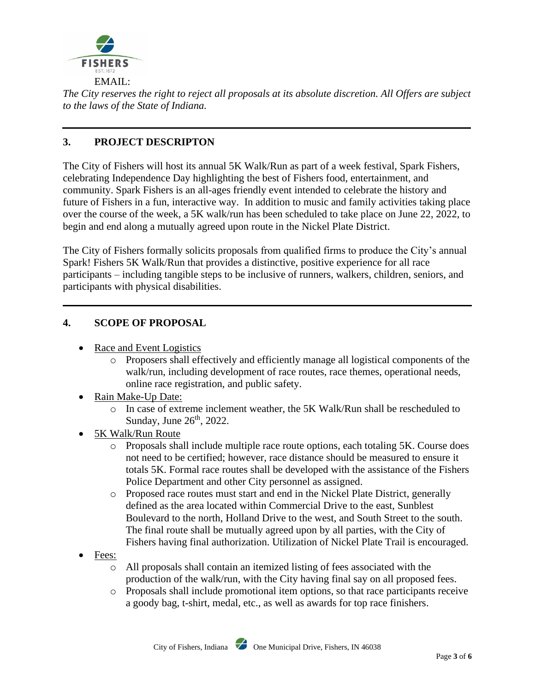

*The City reserves the right to reject all proposals at its absolute discretion. All Offers are subject to the laws of the State of Indiana.*

## **3. PROJECT DESCRIPTON**

The City of Fishers will host its annual 5K Walk/Run as part of a week festival, Spark Fishers, celebrating Independence Day highlighting the best of Fishers food, entertainment, and community. Spark Fishers is an all-ages friendly event intended to celebrate the history and future of Fishers in a fun, interactive way. In addition to music and family activities taking place over the course of the week, a 5K walk/run has been scheduled to take place on June 22, 2022, to begin and end along a mutually agreed upon route in the Nickel Plate District.

The City of Fishers formally solicits proposals from qualified firms to produce the City's annual Spark! Fishers 5K Walk/Run that provides a distinctive, positive experience for all race participants – including tangible steps to be inclusive of runners, walkers, children, seniors, and participants with physical disabilities.

### **4. SCOPE OF PROPOSAL**

- Race and Event Logistics
	- o Proposers shall effectively and efficiently manage all logistical components of the walk/run, including development of race routes, race themes, operational needs, online race registration, and public safety.
- Rain Make-Up Date:
	- o In case of extreme inclement weather, the 5K Walk/Run shall be rescheduled to Sunday, June  $26<sup>th</sup>$ , 2022.
- 5K Walk/Run Route
	- o Proposals shall include multiple race route options, each totaling 5K. Course does not need to be certified; however, race distance should be measured to ensure it totals 5K. Formal race routes shall be developed with the assistance of the Fishers Police Department and other City personnel as assigned.
	- o Proposed race routes must start and end in the Nickel Plate District, generally defined as the area located within Commercial Drive to the east, Sunblest Boulevard to the north, Holland Drive to the west, and South Street to the south. The final route shall be mutually agreed upon by all parties, with the City of Fishers having final authorization. Utilization of Nickel Plate Trail is encouraged.
- Fees:
	- o All proposals shall contain an itemized listing of fees associated with the production of the walk/run, with the City having final say on all proposed fees.
	- o Proposals shall include promotional item options, so that race participants receive a goody bag, t-shirt, medal, etc., as well as awards for top race finishers.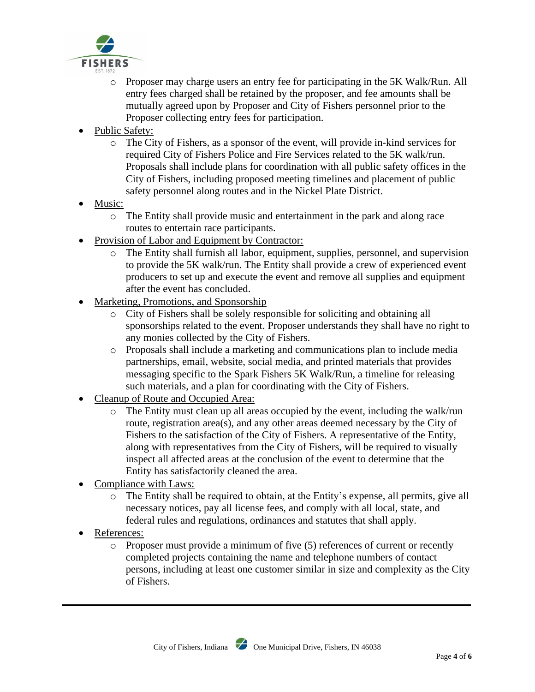

- o Proposer may charge users an entry fee for participating in the 5K Walk/Run. All entry fees charged shall be retained by the proposer, and fee amounts shall be mutually agreed upon by Proposer and City of Fishers personnel prior to the Proposer collecting entry fees for participation.
- Public Safety:
	- o The City of Fishers, as a sponsor of the event, will provide in-kind services for required City of Fishers Police and Fire Services related to the 5K walk/run. Proposals shall include plans for coordination with all public safety offices in the City of Fishers, including proposed meeting timelines and placement of public safety personnel along routes and in the Nickel Plate District.
- Music:
	- o The Entity shall provide music and entertainment in the park and along race routes to entertain race participants.
- Provision of Labor and Equipment by Contractor:
	- o The Entity shall furnish all labor, equipment, supplies, personnel, and supervision to provide the 5K walk/run. The Entity shall provide a crew of experienced event producers to set up and execute the event and remove all supplies and equipment after the event has concluded.
- Marketing, Promotions, and Sponsorship
	- o City of Fishers shall be solely responsible for soliciting and obtaining all sponsorships related to the event. Proposer understands they shall have no right to any monies collected by the City of Fishers.
	- o Proposals shall include a marketing and communications plan to include media partnerships, email, website, social media, and printed materials that provides messaging specific to the Spark Fishers 5K Walk/Run, a timeline for releasing such materials, and a plan for coordinating with the City of Fishers.
- Cleanup of Route and Occupied Area:
	- o The Entity must clean up all areas occupied by the event, including the walk/run route, registration area(s), and any other areas deemed necessary by the City of Fishers to the satisfaction of the City of Fishers. A representative of the Entity, along with representatives from the City of Fishers, will be required to visually inspect all affected areas at the conclusion of the event to determine that the Entity has satisfactorily cleaned the area.
- Compliance with Laws:
	- o The Entity shall be required to obtain, at the Entity's expense, all permits, give all necessary notices, pay all license fees, and comply with all local, state, and federal rules and regulations, ordinances and statutes that shall apply.
- References:
	- $\circ$  Proposer must provide a minimum of five (5) references of current or recently completed projects containing the name and telephone numbers of contact persons, including at least one customer similar in size and complexity as the City of Fishers.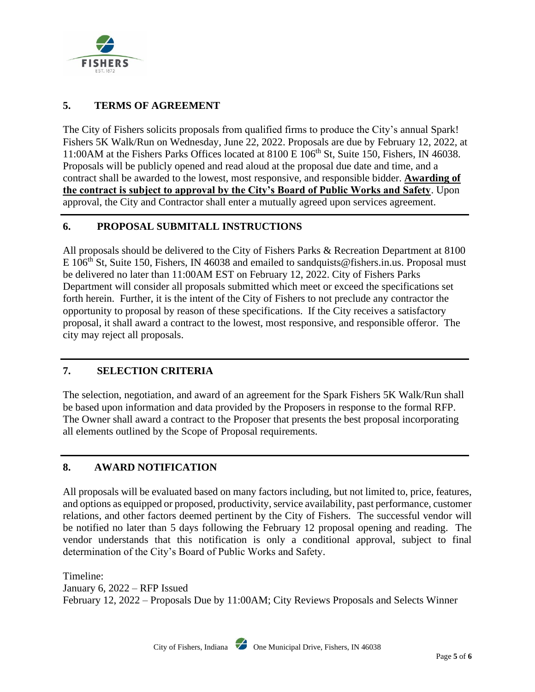

## **5. TERMS OF AGREEMENT**

The City of Fishers solicits proposals from qualified firms to produce the City's annual Spark! Fishers 5K Walk/Run on Wednesday, June 22, 2022. Proposals are due by February 12, 2022, at 11:00AM at the Fishers Parks Offices located at 8100 E 106<sup>th</sup> St, Suite 150, Fishers, IN 46038. Proposals will be publicly opened and read aloud at the proposal due date and time, and a contract shall be awarded to the lowest, most responsive, and responsible bidder. **Awarding of the contract is subject to approval by the City's Board of Public Works and Safety**. Upon approval, the City and Contractor shall enter a mutually agreed upon services agreement.

### **6. PROPOSAL SUBMITALL INSTRUCTIONS**

All proposals should be delivered to the City of Fishers Parks & Recreation Department at 8100 E 106<sup>th</sup> St, Suite 150, Fishers, IN 46038 and emailed to sandquists@fishers.in.us. Proposal must be delivered no later than 11:00AM EST on February 12, 2022. City of Fishers Parks Department will consider all proposals submitted which meet or exceed the specifications set forth herein. Further, it is the intent of the City of Fishers to not preclude any contractor the opportunity to proposal by reason of these specifications. If the City receives a satisfactory proposal, it shall award a contract to the lowest, most responsive, and responsible offeror. The city may reject all proposals.

### **7. SELECTION CRITERIA**

The selection, negotiation, and award of an agreement for the Spark Fishers 5K Walk/Run shall be based upon information and data provided by the Proposers in response to the formal RFP. The Owner shall award a contract to the Proposer that presents the best proposal incorporating all elements outlined by the Scope of Proposal requirements.

### **8. AWARD NOTIFICATION**

All proposals will be evaluated based on many factors including, but not limited to, price, features, and options as equipped or proposed, productivity, service availability, past performance, customer relations, and other factors deemed pertinent by the City of Fishers. The successful vendor will be notified no later than 5 days following the February 12 proposal opening and reading. The vendor understands that this notification is only a conditional approval, subject to final determination of the City's Board of Public Works and Safety.

Timeline: January 6, 2022 – RFP Issued February 12, 2022 – Proposals Due by 11:00AM; City Reviews Proposals and Selects Winner